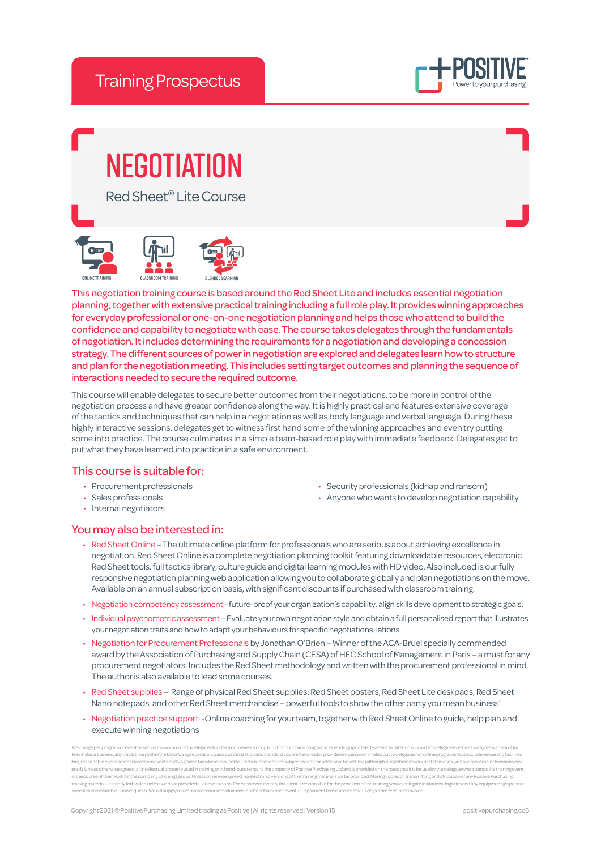

# **NEGOTIATION**

Red Sheet® Lite Course





This negotiation training course is based around the Red Sheet Lite and includes essential negotiation planning, together with extensive practical training including a full role play. It provides winning approaches for everyday professional or one-on-one negotiation planning and helps those who attend to build the confidence and capability to negotiate with ease. The course takes delegates through the fundamentals of negotiation. It includes determining the requirements for a negotiation and developing a concession strategy. The different sources of power in negotiation are explored and delegates learn how to structure and plan for the negotiation meeting. This includes setting target outcomes and planning the sequence of interactions needed to secure the required outcome.

This course will enable delegates to secure better outcomes from their negotiations, to be more in control of the negotiation process and have greater confidence along the way. It is highly practical and features extensive coverage of the tactics and techniques that can help in a negotiation as well as body language and verbal language. During these highly interactive sessions, delegates get to witness first hand some of the winning approaches and even try putting some into practice. The course culminates in a simple team-based role play with immediate feedback. Delegates get to put what they have learned into practice in a safe environment.

## This course is suitable for:

- Procurement professionals
- Sales professionals
- Internal negotiators
- Security professionals (kidnap and ransom)
- Anyone who wants to develop negotiation capability

### You may also be interested in:

- Red Sheet Online The ultimate online platform for professionals who are serious about achieving excellence in negotiation. Red Sheet Online is a complete negotiation planning toolkit featuring downloadable resources, electronic Red Sheet tools, full tactics library, culture guide and digital learning modules with HD video. Also included is our fully responsive negotiation planning web application allowing you to collaborate globally and plan negotiations on the move. Available on an annual subscription basis, with significant discounts if purchased with classroom training.
- Negotiation competency assessment future-proof your organization's capability, align skills development to strategic goals.
- Individual psychometric assessment Evaluate your own negotiation style and obtain a full personalised report that illustrates your negotiation traits and how to adapt your behaviours for specific negotiations. iations.
- Negotiation for Procurement Professionals by Jonathan O'Brien Winner of the ACA-Bruel specially commended award by the Association of Purchasing and Supply Chain (CESA) of HEC School of Management in Paris – a must for any procurement negotiators. Includes the Red Sheet methodology and written with the procurement professional in mind. The author is also available to lead some courses.
- Red Sheet supplies Range of physical Red Sheet supplies: Red Sheet posters, Red Sheet Lite deskpads, Red Sheet Nano notepads, and other Red Sheet merchandise – powerful tools to show the other party you mean business!
- Negotiation practice support -Online coaching for your team, together with Red Sheet Online to guide, help plan and execute winning negotiations

m of 16 delegates for classroom events or up to 30 for our online programs depending upon the degree of facilitation fees include trainers, any travel time (within the EU or US), preparation, basic customization and standard course hand-outs (provided in-person or mailed out to delegates for online programs) but exclude yenue and facilit hire, reasonable expenses for classroom events and VAT/sales tax where applicable. Certain locations are subject to fees for additional travel time (although our global network of staff means we have most major locations ered). Unless otherwise agreed, all intellectual property used in training or in hand-outs remains the property of Positive Purchasing Ltd and is provided on the basis that it is for use by the delegate who attends the tra training materials is strictly forbidden unless we have provided a license to do so. For classroom events, the client is responsible for the provision of the training venue, delegate invitations, logistics and any equipment (as per our specification available upon requestion available upon request to the supply and supply and supply and receipt<br>In request). We will supply a summary of course evaluations and feedback post event. Our payment te